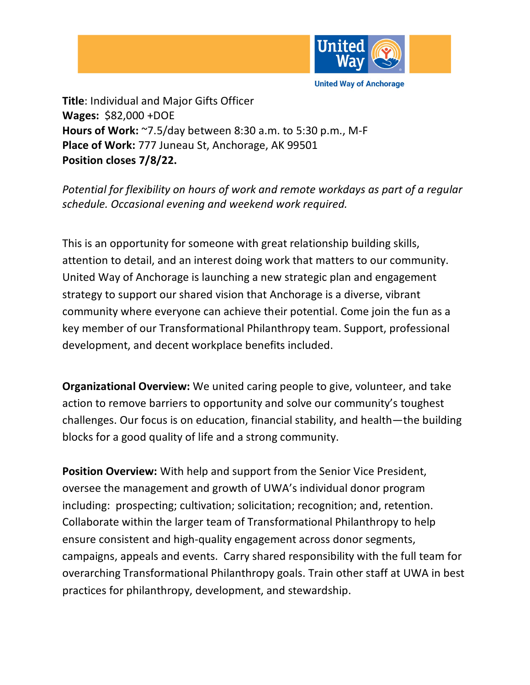

**Title**: Individual and Major Gifts Officer

**Wages:** \$82,000 +DOE **Hours of Work:** ~7.5/day between 8:30 a.m. to 5:30 p.m., M-F **Place of Work:** 777 Juneau St, Anchorage, AK 99501 **Position closes 7/8/22.**

*Potential for flexibility on hours of work and remote workdays as part of a regular schedule. Occasional evening and weekend work required.* 

This is an opportunity for someone with great relationship building skills, attention to detail, and an interest doing work that matters to our community. United Way of Anchorage is launching a new strategic plan and engagement strategy to support our shared vision that Anchorage is a diverse, vibrant community where everyone can achieve their potential. Come join the fun as a key member of our Transformational Philanthropy team. Support, professional development, and decent workplace benefits included.

**Organizational Overview:** We united caring people to give, volunteer, and take action to remove barriers to opportunity and solve our community's toughest challenges. Our focus is on education, financial stability, and health—the building blocks for a good quality of life and a strong community.

**Position Overview:** With help and support from the Senior Vice President, oversee the management and growth of UWA's individual donor program including: prospecting; cultivation; solicitation; recognition; and, retention. Collaborate within the larger team of Transformational Philanthropy to help ensure consistent and high-quality engagement across donor segments, campaigns, appeals and events. Carry shared responsibility with the full team for overarching Transformational Philanthropy goals. Train other staff at UWA in best practices for philanthropy, development, and stewardship.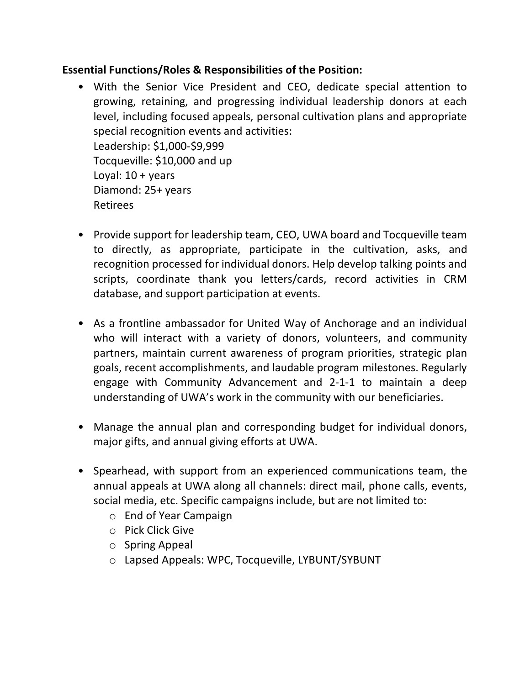## **Essential Functions/Roles & Responsibilities of the Position:**

- With the Senior Vice President and CEO, dedicate special attention to growing, retaining, and progressing individual leadership donors at each level, including focused appeals, personal cultivation plans and appropriate special recognition events and activities: Leadership: \$1,000-\$9,999 Tocqueville: \$10,000 and up Loyal:  $10 + \gamma$ ears Diamond: 25+ years Retirees
- Provide support for leadership team, CEO, UWA board and Tocqueville team to directly, as appropriate, participate in the cultivation, asks, and recognition processed for individual donors. Help develop talking points and scripts, coordinate thank you letters/cards, record activities in CRM database, and support participation at events.
- As a frontline ambassador for United Way of Anchorage and an individual who will interact with a variety of donors, volunteers, and community partners, maintain current awareness of program priorities, strategic plan goals, recent accomplishments, and laudable program milestones. Regularly engage with Community Advancement and 2-1-1 to maintain a deep understanding of UWA's work in the community with our beneficiaries.
- Manage the annual plan and corresponding budget for individual donors, major gifts, and annual giving efforts at UWA.
- Spearhead, with support from an experienced communications team, the annual appeals at UWA along all channels: direct mail, phone calls, events, social media, etc. Specific campaigns include, but are not limited to:
	- o End of Year Campaign
	- o Pick Click Give
	- o Spring Appeal
	- o Lapsed Appeals: WPC, Tocqueville, LYBUNT/SYBUNT